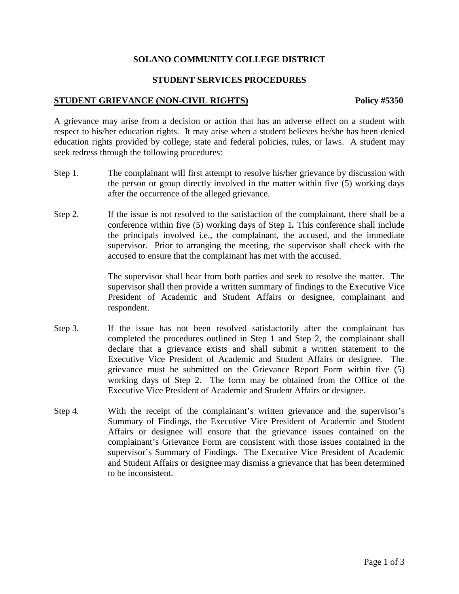# **SOLANO COMMUNITY COLLEGE DISTRICT**

## **STUDENT SERVICES PROCEDURES**

#### **STUDENT GRIEVANCE (NON-CIVIL RIGHTS)** Policy #5350

A grievance may arise from a decision or action that has an adverse effect on a student with respect to his/her education rights. It may arise when a student believes he/she has been denied education rights provided by college, state and federal policies, rules, or laws. A student may seek redress through the following procedures:

- Step 1. The complainant will first attempt to resolve his/her grievance by discussion with the person or group directly involved in the matter within five (5) working days after the occurrence of the alleged grievance.
- Step 2. If the issue is not resolved to the satisfaction of the complainant, there shall be a conference within five (5) working days of Step 1*.* This conference shall include the principals involved i.e., the complainant, the accused, and the immediate supervisor. Prior to arranging the meeting, the supervisor shall check with the accused to ensure that the complainant has met with the accused.

The supervisor shall hear from both parties and seek to resolve the matter. The supervisor shall then provide a written summary of findings to the Executive Vice President of Academic and Student Affairs or designee, complainant and respondent.

- Step 3. If the issue has not been resolved satisfactorily after the complainant has completed the procedures outlined in Step 1 and Step 2, the complainant shall declare that a grievance exists and shall submit a written statement to the Executive Vice President of Academic and Student Affairs or designee. The grievance must be submitted on the Grievance Report Form within five (5) working days of Step 2. The form may be obtained from the Office of the Executive Vice President of Academic and Student Affairs or designee.
- Step 4. With the receipt of the complainant's written grievance and the supervisor's Summary of Findings, the Executive Vice President of Academic and Student Affairs or designee will ensure that the grievance issues contained on the complainant's Grievance Form are consistent with those issues contained in the supervisor's Summary of Findings. The Executive Vice President of Academic and Student Affairs or designee may dismiss a grievance that has been determined to be inconsistent.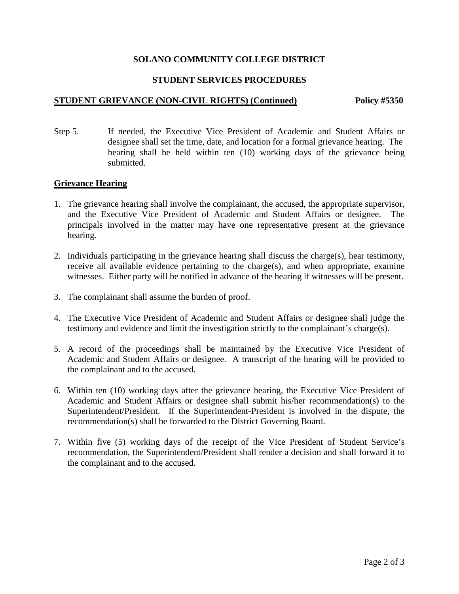# **SOLANO COMMUNITY COLLEGE DISTRICT**

## **STUDENT SERVICES PROCEDURES**

#### **STUDENT GRIEVANCE (NON-CIVIL RIGHTS) (Continued)** Policy #5350

Step 5. If needed, the Executive Vice President of Academic and Student Affairs or designee shall set the time, date, and location for a formal grievance hearing. The hearing shall be held within ten (10) working days of the grievance being submitted.

## **Grievance Hearing**

- 1. The grievance hearing shall involve the complainant, the accused, the appropriate supervisor, and the Executive Vice President of Academic and Student Affairs or designee. The principals involved in the matter may have one representative present at the grievance hearing.
- 2. Individuals participating in the grievance hearing shall discuss the charge(s), hear testimony, receive all available evidence pertaining to the charge(s), and when appropriate, examine witnesses. Either party will be notified in advance of the hearing if witnesses will be present.
- 3. The complainant shall assume the burden of proof.
- 4. The Executive Vice President of Academic and Student Affairs or designee shall judge the testimony and evidence and limit the investigation strictly to the complainant's charge(s).
- 5. A record of the proceedings shall be maintained by the Executive Vice President of Academic and Student Affairs or designee. A transcript of the hearing will be provided to the complainant and to the accused.
- 6. Within ten (10) working days after the grievance hearing, the Executive Vice President of Academic and Student Affairs or designee shall submit his/her recommendation(s) to the Superintendent/President. If the Superintendent-President is involved in the dispute, the recommendation(s) shall be forwarded to the District Governing Board.
- 7. Within five (5) working days of the receipt of the Vice President of Student Service's recommendation, the Superintendent/President shall render a decision and shall forward it to the complainant and to the accused.